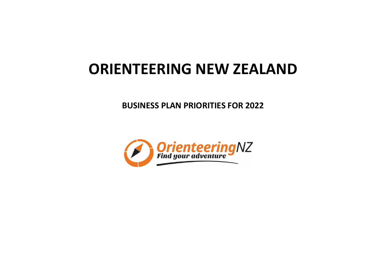# **ORIENTEERING NEW ZEALAND**

**BUSINESS PLAN PRIORITIES FOR 2022**

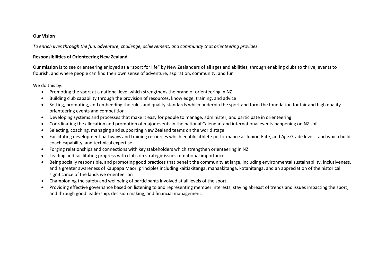#### **Our Vision**

*To enrich lives through the fun, adventure, challenge, achievement, and community that orienteering provides*

### **Responsibilities of Orienteering New Zealand**

Our **mission** is to see orienteering enjoyed as a "sport for life" by New Zealanders of all ages and abilities, through enabling clubs to thrive, events to flourish, and where people can find their own sense of adventure, aspiration, community, and fun

We do this by:

- Promoting the sport at a national level which strengthens the brand of orienteering in NZ
- Building club capability through the provision of resources, knowledge, training, and advice
- Setting, promoting, and embedding the rules and quality standards which underpin the sport and form the foundation for fair and high quality orienteering events and competition
- Developing systems and processes that make it easy for people to manage, administer, and participate in orienteering
- Coordinating the allocation and promotion of major events in the national Calendar, and international events happening on NZ soil
- Selecting, coaching, managing and supporting New Zealand teams on the world stage
- Facilitating development pathways and training resources which enable athlete performance at Junior, Elite, and Age Grade levels, and which build coach capability, and technical expertise
- Forging relationships and connections with key stakeholders which strengthen orienteering in NZ
- Leading and facilitating progress with clubs on strategic issues of national importance
- Being socially responsible, and promoting good practices that benefit the community at large, including environmental sustainability, inclusiveness, and a greater awareness of Kaupapa Maori principles including kaitiakitanga, manaakitanga, kotahitanga, and an appreciation of the historical significance of the lands we orienteer on
- Championing the safety and wellbeing of participants involved at all levels of the sport
- Providing effective governance based on listening to and representing member interests, staying abreast of trends and issues impacting the sport, and through good leadership, decision making, and financial management.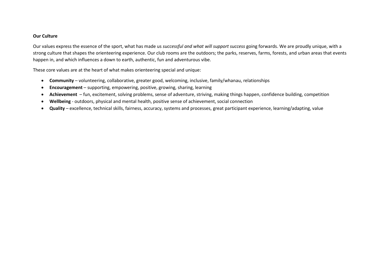#### **Our Culture**

Our values express the essence of the sport, what has made us *successful and what will support success* going forwards. We are proudly unique, with a strong culture that shapes the orienteering experience. Our club rooms are the outdoors; the parks, reserves, farms, forests, and urban areas that events happen in, and which influences a down to earth, authentic, fun and adventurous vibe.

These core values are at the heart of what makes orienteering special and unique:

- **Community** volunteering, collaborative, greater good, welcoming, inclusive, family/whanau, relationships
- **Encouragement** supporting, empowering, positive, growing, sharing, learning
- **Achievement** fun, excitement, solving problems, sense of adventure, striving, making things happen, confidence building, competition
- **Wellbeing** outdoors, physical and mental health, positive sense of achievement, social connection
- **Quality**  excellence, technical skills, fairness, accuracy, systems and processes, great participant experience, learning/adapting, value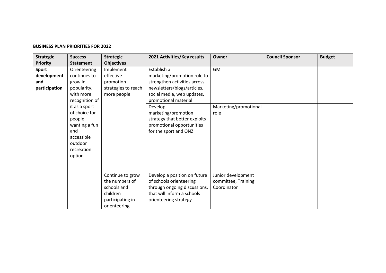## **BUSINESS PLAN PRIORITIES FOR 2022**

| <b>Strategic</b> | <b>Success</b>   | <b>Strategic</b>    | 2021 Activities/Key results   | Owner                 | <b>Council Sponsor</b> | <b>Budget</b> |
|------------------|------------------|---------------------|-------------------------------|-----------------------|------------------------|---------------|
| <b>Priority</b>  | <b>Statement</b> | <b>Objectives</b>   |                               |                       |                        |               |
| Sport            | Orienteering     | Implement           | Establish a                   | <b>GM</b>             |                        |               |
| development      | continues to     | effective           | marketing/promotion role to   |                       |                        |               |
| and              | grow in          | promotion           | strengthen activities across  |                       |                        |               |
| participation    | popularity,      | strategies to reach | newsletters/blogs/articles,   |                       |                        |               |
|                  | with more        | more people         | social media, web updates,    |                       |                        |               |
|                  | recognition of   |                     | promotional material          |                       |                        |               |
|                  | it as a sport    |                     | Develop                       | Marketing/promotional |                        |               |
|                  | of choice for    |                     | marketing/promotion           | role                  |                        |               |
|                  | people           |                     | strategy that better exploits |                       |                        |               |
|                  | wanting a fun    |                     | promotional opportunities     |                       |                        |               |
|                  | and              |                     | for the sport and ONZ         |                       |                        |               |
|                  | accessible       |                     |                               |                       |                        |               |
|                  | outdoor          |                     |                               |                       |                        |               |
|                  | recreation       |                     |                               |                       |                        |               |
|                  | option           |                     |                               |                       |                        |               |
|                  |                  |                     |                               |                       |                        |               |
|                  |                  |                     |                               |                       |                        |               |
|                  |                  | Continue to grow    | Develop a position on future  | Junior development    |                        |               |
|                  |                  | the numbers of      | of schools orienteering       | committee, Training   |                        |               |
|                  |                  | schools and         | through ongoing discussions,  | Coordinator           |                        |               |
|                  |                  | children            | that will inform a schools    |                       |                        |               |
|                  |                  | participating in    | orienteering strategy         |                       |                        |               |
|                  |                  | orienteering        |                               |                       |                        |               |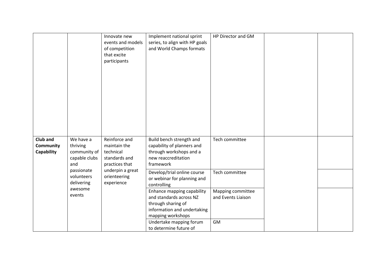|                                                   |                                                                                                                    | Innovate new<br>events and models<br>of competition<br>that excite<br>participants                                              | Implement national sprint<br>series, to align with HP goals<br>and World Champs formats                                                                                                            | HP Director and GM                            |  |
|---------------------------------------------------|--------------------------------------------------------------------------------------------------------------------|---------------------------------------------------------------------------------------------------------------------------------|----------------------------------------------------------------------------------------------------------------------------------------------------------------------------------------------------|-----------------------------------------------|--|
| Club and<br><b>Community</b><br><b>Capability</b> | We have a<br>thriving<br>community of<br>capable clubs<br>and<br>passionate<br>volunteers<br>delivering<br>awesome | Reinforce and<br>maintain the<br>technical<br>standards and<br>practices that<br>underpin a great<br>orienteering<br>experience | Build bench strength and<br>capability of planners and<br>through workshops and a<br>new reaccreditation<br>framework<br>Develop/trial online course<br>or webinar for planning and<br>controlling | Tech committee<br>Tech committee              |  |
|                                                   | events                                                                                                             |                                                                                                                                 | Enhance mapping capability<br>and standards across NZ<br>through sharing of<br>information and undertaking<br>mapping workshops<br>Undertake mapping forum<br>to determine future of               | Mapping committee<br>and Events Liaison<br>GM |  |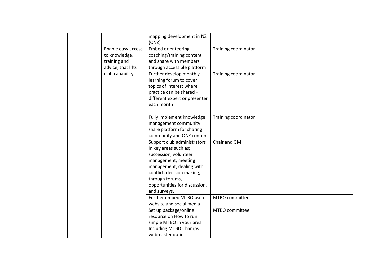|  |                                                     | mapping development in NZ<br>(ONZ)                                               |                      |  |
|--|-----------------------------------------------------|----------------------------------------------------------------------------------|----------------------|--|
|  | Enable easy access<br>to knowledge,<br>training and | <b>Embed orienteering</b><br>coaching/training content<br>and share with members | Training coordinator |  |
|  | advice, that lifts                                  | through accessible platform                                                      |                      |  |
|  | club capability                                     | Further develop monthly                                                          | Training coordinator |  |
|  |                                                     | learning forum to cover                                                          |                      |  |
|  |                                                     | topics of interest where                                                         |                      |  |
|  |                                                     | practice can be shared -                                                         |                      |  |
|  |                                                     | different expert or presenter                                                    |                      |  |
|  |                                                     | each month                                                                       |                      |  |
|  |                                                     | Fully implement knowledge                                                        | Training coordinator |  |
|  |                                                     | management community                                                             |                      |  |
|  |                                                     | share platform for sharing                                                       |                      |  |
|  |                                                     | community and ONZ content                                                        |                      |  |
|  |                                                     | Support club administrators                                                      | Chair and GM         |  |
|  |                                                     | in key areas such as;                                                            |                      |  |
|  |                                                     | succession, volunteer                                                            |                      |  |
|  |                                                     | management, meeting                                                              |                      |  |
|  |                                                     | management, dealing with                                                         |                      |  |
|  |                                                     | conflict, decision making,                                                       |                      |  |
|  |                                                     | through forums,                                                                  |                      |  |
|  |                                                     | opportunities for discussion,                                                    |                      |  |
|  |                                                     | and surveys.<br>Further embed MTBO use of                                        |                      |  |
|  |                                                     | website and social media                                                         | MTBO committee       |  |
|  |                                                     | Set up package/online                                                            | MTBO committee       |  |
|  |                                                     | resource on How to run                                                           |                      |  |
|  |                                                     | simple MTBO in your area                                                         |                      |  |
|  |                                                     | Including MTBO Champs                                                            |                      |  |
|  |                                                     | webmaster duties.                                                                |                      |  |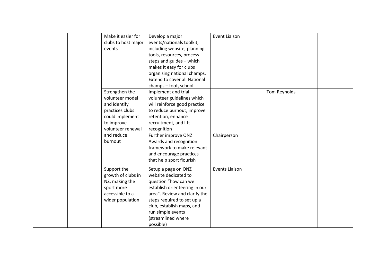|  | Make it easier for  | Develop a major                     | Event Liaison         |              |  |
|--|---------------------|-------------------------------------|-----------------------|--------------|--|
|  | clubs to host major | events/nationals toolkit,           |                       |              |  |
|  | events              | including website, planning         |                       |              |  |
|  |                     | tools, resources, process           |                       |              |  |
|  |                     | steps and guides - which            |                       |              |  |
|  |                     | makes it easy for clubs             |                       |              |  |
|  |                     | organising national champs.         |                       |              |  |
|  |                     | <b>Extend to cover all National</b> |                       |              |  |
|  |                     | champs - foot, school               |                       |              |  |
|  | Strengthen the      | Implement and trial                 |                       | Tom Reynolds |  |
|  | volunteer model     | volunteer guidelines which          |                       |              |  |
|  | and identify        | will reinforce good practice        |                       |              |  |
|  | practices clubs     | to reduce burnout, improve          |                       |              |  |
|  | could implement     | retention, enhance                  |                       |              |  |
|  | to improve          | recruitment, and lift               |                       |              |  |
|  | volunteer renewal   | recognition                         |                       |              |  |
|  | and reduce          | Further improve ONZ                 | Chairperson           |              |  |
|  | burnout             | Awards and recognition              |                       |              |  |
|  |                     | framework to make relevant          |                       |              |  |
|  |                     | and encourage practices             |                       |              |  |
|  |                     | that help sport flourish            |                       |              |  |
|  |                     |                                     |                       |              |  |
|  | Support the         | Setup a page on ONZ                 | <b>Events Liaison</b> |              |  |
|  | growth of clubs in  | website dedicated to                |                       |              |  |
|  | NZ, making the      | question "how can we                |                       |              |  |
|  | sport more          | establish orienteering in our       |                       |              |  |
|  | accessible to a     | area". Review and clarify the       |                       |              |  |
|  | wider population    | steps required to set up a          |                       |              |  |
|  |                     | club, establish maps, and           |                       |              |  |
|  |                     | run simple events                   |                       |              |  |
|  |                     | (streamlined where                  |                       |              |  |
|  |                     | possible)                           |                       |              |  |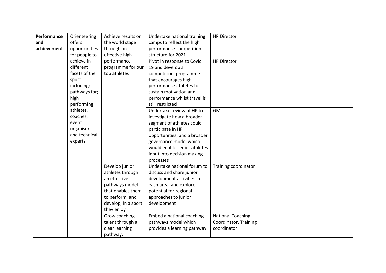| Performance | Orienteering  | Achieve results on  | Undertake national training  | <b>HP Director</b>       |  |
|-------------|---------------|---------------------|------------------------------|--------------------------|--|
| and         | offers        | the world stage     | camps to reflect the high    |                          |  |
| achievement | opportunities | through an          | performance competition      |                          |  |
|             | for people to | effective high      | structure for 2021           |                          |  |
|             | achieve in    | performance         | Pivot in response to Covid   | <b>HP Director</b>       |  |
|             | different     | programme for our   | 19 and develop a             |                          |  |
|             | facets of the | top athletes        | competition programme        |                          |  |
|             | sport         |                     | that encourages high         |                          |  |
|             | including;    |                     | performance athletes to      |                          |  |
|             | pathways for; |                     | sustain motivation and       |                          |  |
|             | high          |                     | performance whilst travel is |                          |  |
|             | performing    |                     | still restricted             |                          |  |
|             | athletes,     |                     | Undertake review of HP to    | <b>GM</b>                |  |
|             | coaches,      |                     | investigate how a broader    |                          |  |
|             | event         |                     | segment of athletes could    |                          |  |
|             | organisers    |                     | participate in HP            |                          |  |
|             | and technical |                     | opportunities, and a broader |                          |  |
|             | experts       |                     | governance model which       |                          |  |
|             |               |                     | would enable senior athletes |                          |  |
|             |               |                     | input into decision making   |                          |  |
|             |               |                     | processes                    |                          |  |
|             |               | Develop junior      | Undertake national forum to  | Training coordinator     |  |
|             |               | athletes through    | discuss and share junior     |                          |  |
|             |               | an effective        | development activities in    |                          |  |
|             |               | pathways model      | each area, and explore       |                          |  |
|             |               | that enables them   | potential for regional       |                          |  |
|             |               | to perform, and     | approaches to junior         |                          |  |
|             |               | develop, in a sport | development                  |                          |  |
|             |               | they enjoy          |                              |                          |  |
|             |               | Grow coaching       | Embed a national coaching    | <b>National Coaching</b> |  |
|             |               | talent through a    | pathways model which         | Coordinator, Training    |  |
|             |               | clear learning      | provides a learning pathway  | coordinator              |  |
|             |               | pathway,            |                              |                          |  |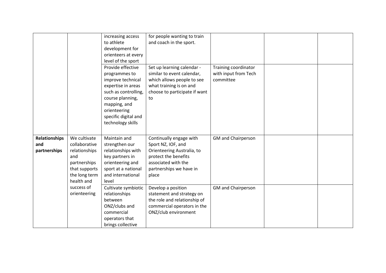|                                             |                                                                                                                                                     | increasing access<br>to athlete<br>development for<br>orienteers at every<br>level of the sport<br>Provide effective<br>programmes to<br>improve technical<br>expertise in areas<br>such as controlling,<br>course planning,<br>mapping, and<br>orienteering<br>specific digital and<br>technology skills | for people wanting to train<br>and coach in the sport.<br>Set up learning calendar -<br>similar to event calendar,<br>which allows people to see<br>what training is on and<br>choose to participate if want<br>to                                                                                       | Training coordinator<br>with input from Tech<br>committee |  |
|---------------------------------------------|-----------------------------------------------------------------------------------------------------------------------------------------------------|-----------------------------------------------------------------------------------------------------------------------------------------------------------------------------------------------------------------------------------------------------------------------------------------------------------|----------------------------------------------------------------------------------------------------------------------------------------------------------------------------------------------------------------------------------------------------------------------------------------------------------|-----------------------------------------------------------|--|
| <b>Relationships</b><br>and<br>partnerships | We cultivate<br>collaborative<br>relationships<br>and<br>partnerships<br>that supports<br>the long term<br>health and<br>success of<br>orienteering | Maintain and<br>strengthen our<br>relationships with<br>key partners in<br>orienteering and<br>sport at a national<br>and international<br>level<br>Cultivate symbiotic<br>relationships<br>between<br>ONZ/clubs and<br>commercial<br>operators that<br>brings collective                                 | Continually engage with<br>Sport NZ, IOF, and<br>Orienteering Australia, to<br>protect the benefits<br>associated with the<br>partnerships we have in<br>place<br>Develop a position<br>statement and strategy on<br>the role and relationship of<br>commercial operators in the<br>ONZ/club environment | <b>GM</b> and Chairperson<br><b>GM</b> and Chairperson    |  |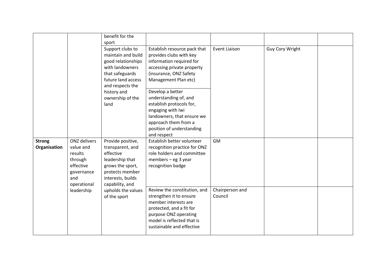|               |              | benefit for the<br>sport |                              |                      |                        |  |
|---------------|--------------|--------------------------|------------------------------|----------------------|------------------------|--|
|               |              |                          |                              | <b>Event Liaison</b> |                        |  |
|               |              | Support clubs to         | Establish resource pack that |                      | <b>Guy Cory Wright</b> |  |
|               |              | maintain and build       | provides clubs with key      |                      |                        |  |
|               |              | good relationships       | information required for     |                      |                        |  |
|               |              | with landowners          | accessing private property   |                      |                        |  |
|               |              | that safeguards          | (insurance, ONZ Safety       |                      |                        |  |
|               |              | future land access       | Management Plan etc)         |                      |                        |  |
|               |              | and respects the         |                              |                      |                        |  |
|               |              | history and              | Develop a better             |                      |                        |  |
|               |              | ownership of the         | understanding of, and        |                      |                        |  |
|               |              | land                     | establish protocols for,     |                      |                        |  |
|               |              |                          | engaging with Iwi            |                      |                        |  |
|               |              |                          | landowners, that ensure we   |                      |                        |  |
|               |              |                          | approach them from a         |                      |                        |  |
|               |              |                          | position of understanding    |                      |                        |  |
|               |              |                          | and respect                  |                      |                        |  |
| <b>Strong</b> | ONZ delivers | Provide positive,        | Establish better volunteer   | GM                   |                        |  |
| Organisation  | value and    | transparent, and         | recognition practice for ONZ |                      |                        |  |
|               | results      | effective                | role holders and committee   |                      |                        |  |
|               | through      | leadership that          | members - eg 3 year          |                      |                        |  |
|               | effective    | grows the sport,         | recognition badge            |                      |                        |  |
|               | governance   | protects member          |                              |                      |                        |  |
|               | and          | interests, builds        |                              |                      |                        |  |
|               | operational  | capability, and          |                              |                      |                        |  |
|               | leadership   | upholds the values       | Review the constitution, and | Chairperson and      |                        |  |
|               |              | of the sport             | strengthen it to ensure      | Council              |                        |  |
|               |              |                          | member interests are         |                      |                        |  |
|               |              |                          | protected, and a fit for     |                      |                        |  |
|               |              |                          | purpose ONZ operating        |                      |                        |  |
|               |              |                          | model is reflected that is   |                      |                        |  |
|               |              |                          | sustainable and effective    |                      |                        |  |
|               |              |                          |                              |                      |                        |  |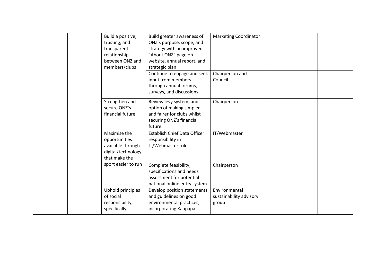| Build a positive,<br>trusting, and<br>transparent<br>relationship<br>between ONZ and<br>members/clubs | Build greater awareness of<br>ONZ's purpose, scope, and<br>strategy with an improved<br>"About ONZ" page on<br>website, annual report, and<br>strategic plan<br>Continue to engage and seek<br>input from members<br>through annual forums,<br>surveys, and discussions | <b>Marketing Coordinator</b><br>Chairperson and<br>Council |  |
|-------------------------------------------------------------------------------------------------------|-------------------------------------------------------------------------------------------------------------------------------------------------------------------------------------------------------------------------------------------------------------------------|------------------------------------------------------------|--|
| Strengthen and<br>secure ONZ's<br>financial future                                                    | Review levy system, and<br>option of making simpler<br>and fairer for clubs whilst<br>securing ONZ's financial<br>future.                                                                                                                                               | Chairperson                                                |  |
| Maximise the<br>opportunities<br>available through<br>digital/technology,<br>that make the            | Establish Chief Data Officer<br>responsibility in<br>IT/Webmaster role                                                                                                                                                                                                  | IT/Webmaster                                               |  |
| sport easier to run                                                                                   | Complete feasibility,<br>specifications and needs<br>assessment for potential<br>national online entry system                                                                                                                                                           | Chairperson                                                |  |
| Uphold principles<br>of social<br>responsibility,<br>specifically;                                    | Develop position statements<br>and guidelines on good<br>environmental practices,<br>incorporating Kaupapa                                                                                                                                                              | Environmental<br>sustainability advisory<br>group          |  |